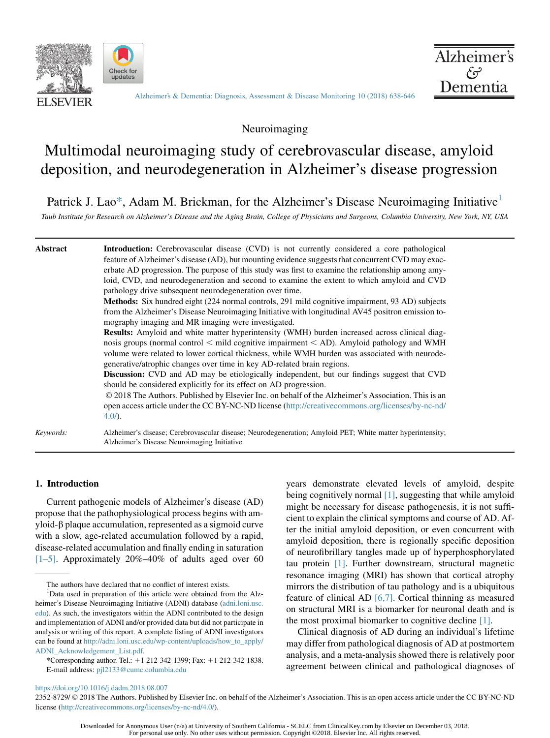



[Alzheimer's & Dementia: Diagnosis, Assessment & Disease Monitoring 10 \(2018\) 638-646](https://doi.org/10.1016/j.dadm.2018.08.007)

Neuroimaging

# Multimodal neuroimaging study of cerebrovascular disease, amyloid deposition, and neurodegeneration in Alzheimer's disease progression

Patrick J. Lao\*, Adam M. Brickman, for the Alzheimer's Disease Neuroimaging Initiative<sup>1</sup>

Taub Institute for Research on Alzheimer's Disease and the Aging Brain, College of Physicians and Surgeons, Columbia University, New York, NY, USA

| Abstract  | <b>Introduction:</b> Cerebrovascular disease (CVD) is not currently considered a core pathological                                                                                                                   |
|-----------|----------------------------------------------------------------------------------------------------------------------------------------------------------------------------------------------------------------------|
|           | feature of Alzheimer's disease (AD), but mounting evidence suggests that concurrent CVD may exac-                                                                                                                    |
|           | erbate AD progression. The purpose of this study was first to examine the relationship among amy-                                                                                                                    |
|           | loid, CVD, and neurodegeneration and second to examine the extent to which amyloid and CVD                                                                                                                           |
|           | pathology drive subsequent neurodegeneration over time.                                                                                                                                                              |
|           | <b>Methods:</b> Six hundred eight (224 normal controls, 291 mild cognitive impairment, 93 AD) subjects                                                                                                               |
|           | from the Alzheimer's Disease Neuroimaging Initiative with longitudinal AV45 positron emission to-<br>mography imaging and MR imaging were investigated.                                                              |
|           | <b>Results:</b> Amyloid and white matter hyperintensity (WMH) burden increased across clinical diag-<br>nosis groups (normal control $\leq$ mild cognitive impairment $\leq$ AD). Amyloid pathology and WMH          |
|           | volume were related to lower cortical thickness, while WMH burden was associated with neurode-                                                                                                                       |
|           | generative/atrophic changes over time in key AD-related brain regions.                                                                                                                                               |
|           | <b>Discussion:</b> CVD and AD may be etiologically independent, but our findings suggest that CVD<br>should be considered explicitly for its effect on AD progression.                                               |
|           | © 2018 The Authors. Published by Elsevier Inc. on behalf of the Alzheimer's Association. This is an<br>open access article under the CC BY-NC-ND license (http://creativecommons.org/licenses/by-nc-nd/<br>$4.0/$ ). |
| Kevwords: | Alzheimer's disease; Cerebrovascular disease; Neurodegeneration; Amyloid PET; White matter hyperintensity;<br>Alzheimer's Disease Neuroimaging Initiative                                                            |

#### 1. Introduction

Current pathogenic models of Alzheimer's disease (AD) propose that the pathophysiological process begins with am $y$ loid- $\beta$  plaque accumulation, represented as a sigmoid curve with a slow, age-related accumulation followed by a rapid, disease-related accumulation and finally ending in saturation [\[1–5\].](#page-6-0) Approximately 20%–40% of adults aged over 60 years demonstrate elevated levels of amyloid, despite being cognitively normal [\[1\]](#page-6-0), suggesting that while amyloid might be necessary for disease pathogenesis, it is not sufficient to explain the clinical symptoms and course of AD. After the initial amyloid deposition, or even concurrent with amyloid deposition, there is regionally specific deposition of neurofibrillary tangles made up of hyperphosphorylated tau protein [\[1\].](#page-6-0) Further downstream, structural magnetic resonance imaging (MRI) has shown that cortical atrophy mirrors the distribution of tau pathology and is a ubiquitous feature of clinical AD [\[6,7\].](#page-7-0) Cortical thinning as measured on structural MRI is a biomarker for neuronal death and is the most proximal biomarker to cognitive decline [\[1\]](#page-6-0).

Clinical diagnosis of AD during an individual's lifetime may differ from pathological diagnosis of AD at postmortem analysis, and a meta-analysis showed there is relatively poor agreement between clinical and pathological diagnoses of

<https://doi.org/10.1016/j.dadm.2018.08.007>

Downloaded for Anonymous User (n/a) at University of Southern California - SCELC from ClinicalKey.com by Elsevier on December 03, 2018. For personal use only. No other uses without permission. Copyright ©2018. Elsevier Inc. All rights reserved.

The authors have declared that no conflict of interest exists.

<sup>&</sup>lt;sup>1</sup>Data used in preparation of this article were obtained from the Alzheimer's Disease Neuroimaging Initiative (ADNI) database [\(adni.loni.usc.](http://adni.loni.usc.edu) [edu](http://adni.loni.usc.edu)). As such, the investigators within the ADNI contributed to the design and implementation of ADNI and/or provided data but did not participate in analysis or writing of this report. A complete listing of ADNI investigators can be found at [http://adni.loni.usc.edu/wp-content/uploads/how\\_to\\_apply/](http://adni.loni.usc.edu/wp-content/uploads/how_to_apply/ADNI_Acknowledgement_List.pdf) [ADNI\\_Acknowledgement\\_List.pdf.](http://adni.loni.usc.edu/wp-content/uploads/how_to_apply/ADNI_Acknowledgement_List.pdf)

<sup>\*</sup>Corresponding author. Tel.: 11 212-342-1399; Fax: 11 212-342-1838. E-mail address: [pjl2133@cumc.columbia.edu](mailto:pjl2133@cumc.columbia.edu)

<sup>2352-8729/</sup>  $\odot$  2018 The Authors. Published by Elsevier Inc. on behalf of the Alzheimer's Association. This is an open access article under the CC BY-NC-ND license ([http://creativecommons.org/licenses/by-nc-nd/4.0/\)](http://creativecommons.org/licenses/by-nc-nd/4.0/).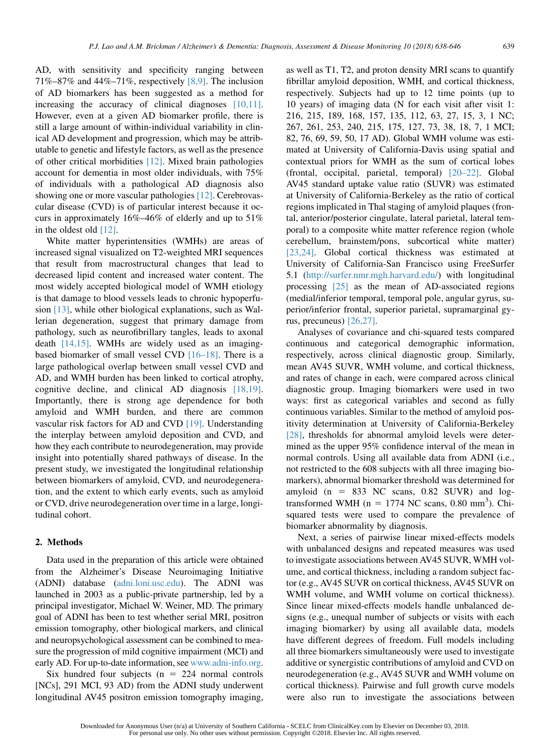AD, with sensitivity and specificity ranging between 71%–87% and 44%–71%, respectively  $[8,9]$ . The inclusion of AD biomarkers has been suggested as a method for increasing the accuracy of clinical diagnoses [\[10,11\].](#page-7-0) However, even at a given AD biomarker profile, there is still a large amount of within-individual variability in clinical AD development and progression, which may be attributable to genetic and lifestyle factors, as well as the presence of other critical morbidities [\[12\]](#page-7-0). Mixed brain pathologies account for dementia in most older individuals, with 75% of individuals with a pathological AD diagnosis also showing one or more vascular pathologies [\[12\].](#page-7-0) Cerebrovas-

cular disease (CVD) is of particular interest because it occurs in approximately 16%–46% of elderly and up to 51%

in the oldest old [\[12\]](#page-7-0). White matter hyperintensities (WMHs) are areas of increased signal visualized on T2-weighted MRI sequences that result from macrostructural changes that lead to decreased lipid content and increased water content. The most widely accepted biological model of WMH etiology is that damage to blood vessels leads to chronic hypoperfusion [\[13\],](#page-7-0) while other biological explanations, such as Wallerian degeneration, suggest that primary damage from pathology, such as neurofibrillary tangles, leads to axonal death [\[14,15\]](#page-7-0). WMHs are widely used as an imagingbased biomarker of small vessel CVD [\[16–18\].](#page-7-0) There is a large pathological overlap between small vessel CVD and AD, and WMH burden has been linked to cortical atrophy, cognitive decline, and clinical AD diagnosis [\[18,19\].](#page-7-0) Importantly, there is strong age dependence for both amyloid and WMH burden, and there are common vascular risk factors for AD and CVD [\[19\].](#page-7-0) Understanding the interplay between amyloid deposition and CVD, and how they each contribute to neurodegeneration, may provide insight into potentially shared pathways of disease. In the present study, we investigated the longitudinal relationship between biomarkers of amyloid, CVD, and neurodegeneration, and the extent to which early events, such as amyloid or CVD, drive neurodegeneration over time in a large, longitudinal cohort.

### 2. Methods

Data used in the preparation of this article were obtained from the Alzheimer's Disease Neuroimaging Initiative (ADNI) database [\(adni.loni.usc.edu\)](http://adni.loni.usc.edu). The ADNI was launched in 2003 as a public-private partnership, led by a principal investigator, Michael W. Weiner, MD. The primary goal of ADNI has been to test whether serial MRI, positron emission tomography, other biological markers, and clinical and neuropsychological assessment can be combined to measure the progression of mild cognitive impairment (MCI) and early AD. For up-to-date information, see [www.adni-info.org.](http://www.adni-info.org)

Six hundred four subjects ( $n = 224$  normal controls [NCs], 291 MCI, 93 AD) from the ADNI study underwent longitudinal AV45 positron emission tomography imaging, as well as T1, T2, and proton density MRI scans to quantify fibrillar amyloid deposition, WMH, and cortical thickness, respectively. Subjects had up to 12 time points (up to 10 years) of imaging data (N for each visit after visit 1: 216, 215, 189, 168, 157, 135, 112, 63, 27, 15, 3, 1 NC; 267, 261, 253, 240, 215, 175, 127, 73, 38, 18, 7, 1 MCI; 82, 76, 69, 59, 50, 17 AD). Global WMH volume was estimated at University of California-Davis using spatial and contextual priors for WMH as the sum of cortical lobes (frontal, occipital, parietal, temporal) [\[20–22\]](#page-7-0). Global AV45 standard uptake value ratio (SUVR) was estimated at University of California-Berkeley as the ratio of cortical regions implicated in Thal staging of amyloid plaques (frontal, anterior/posterior cingulate, lateral parietal, lateral temporal) to a composite white matter reference region (whole cerebellum, brainstem/pons, subcortical white matter) [\[23,24\]](#page-7-0). Global cortical thickness was estimated at University of California-San Francisco using FreeSurfer 5.1 [\(http://surfer.nmr.mgh.harvard.edu/\)](http://surfer.nmr.mgh.harvard.edu/) with longitudinal processing [\[25\]](#page-7-0) as the mean of AD-associated regions (medial/inferior temporal, temporal pole, angular gyrus, superior/inferior frontal, superior parietal, supramarginal gyrus, precuneus) [\[26,27\]](#page-7-0).

Analyses of covariance and chi-squared tests compared continuous and categorical demographic information, respectively, across clinical diagnostic group. Similarly, mean AV45 SUVR, WMH volume, and cortical thickness, and rates of change in each, were compared across clinical diagnostic group. Imaging biomarkers were used in two ways: first as categorical variables and second as fully continuous variables. Similar to the method of amyloid positivity determination at University of California-Berkeley [\[28\],](#page-7-0) thresholds for abnormal amyloid levels were determined as the upper 95% confidence interval of the mean in normal controls. Using all available data from ADNI (i.e., not restricted to the 608 subjects with all three imaging biomarkers), abnormal biomarker threshold was determined for amyloid ( $n = 833$  NC scans, 0.82 SUVR) and logtransformed WMH ( $n = 1774$  NC scans, 0.80 mm<sup>3</sup>). Chisquared tests were used to compare the prevalence of biomarker abnormality by diagnosis.

Next, a series of pairwise linear mixed-effects models with unbalanced designs and repeated measures was used to investigate associations between AV45 SUVR, WMH volume, and cortical thickness, including a random subject factor (e.g., AV45 SUVR on cortical thickness, AV45 SUVR on WMH volume, and WMH volume on cortical thickness). Since linear mixed-effects models handle unbalanced designs (e.g., unequal number of subjects or visits with each imaging biomarker) by using all available data, models have different degrees of freedom. Full models including all three biomarkers simultaneously were used to investigate additive or synergistic contributions of amyloid and CVD on neurodegeneration (e.g., AV45 SUVR and WMH volume on cortical thickness). Pairwise and full growth curve models were also run to investigate the associations between

Downloaded for Anonymous User (n/a) at University of Southern California - SCELC from ClinicalKey.com by Elsevier on December 03, 2018. For personal use only. No other uses without permission. Copyright ©2018. Elsevier Inc. All rights reserved.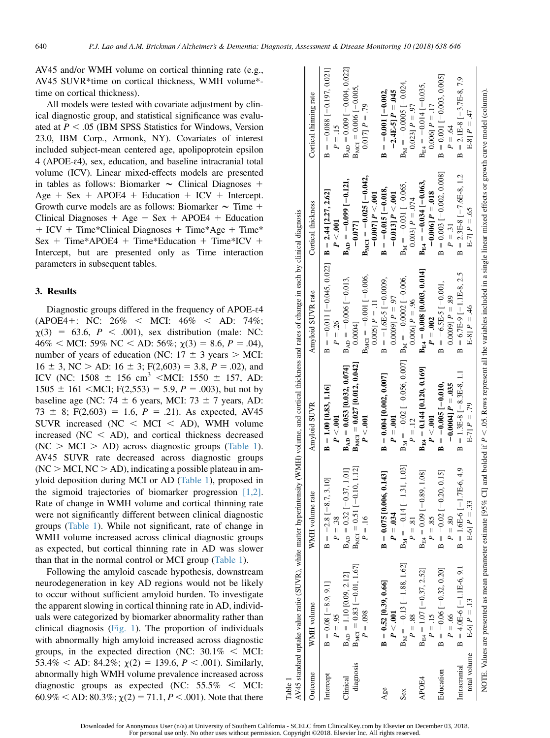AV45 and/or WMH volume on cortical thinning rate (e.g., AV45 SUVR\*time on cortical thickness, WMH volume\* time on cortical thickness).

All models were tested with covariate adjustment by clinical diagnostic group, and statistical significance was evaluated at  $P < .05$  (IBM SPSS Statistics for Windows, Version 23.0, IBM Corp., Armonk, NY). Covariates of interest included subject-mean centered age, apolipoprotein epsilon 4 (APOE-ε4), sex, education, and baseline intracranial total volume (ICV). Linear mixed-effects models are presented in tables as follows: Biomarker  $\sim$  Clinical Diagnoses + Age  $+$  Sex  $+$  APOE4  $+$  Education  $+$  ICV  $+$  Intercept. Growth curve models are as follows: Biomarker  $\sim$  Time + Clinical Diagnoses  $+$  Age  $+$  Sex  $+$  APOE4  $+$  Education  $+$  ICV  $+$  Time\*Clinical Diagnoses  $+$  Time\*Age  $+$  Time\*  $Sex + Time*APOE4 + Time*Education + Time*ICV +$ Intercept, but are presented only as Time interaction parameters in subsequent tables.

#### 3. Results

Diagnostic groups differed in the frequency of APOE- $\varepsilon$ 4  $(APOE4+: NC: 26\% < MCI: 46\% < AD: 74\%;$  $\chi(3) = 63.6$ ,  $P < .001$ ), sex distribution (male: NC:  $46\%$  < MCI: 59% NC < AD: 56%;  $\gamma(3) = 8.6$ ,  $P = .04$ ), number of years of education (NC:  $17 \pm 3$  years > MCI:  $16 \pm 3$ , NC > AD:  $16 \pm 3$ ; F(2,603) = 3.8, P = .02), and ICV (NC: 1508  $\pm$  156 cm<sup>3</sup> <MCI: 1550  $\pm$  157, AD:  $1505 \pm 161$  <MCI; F(2,553) = 5.9, P = .003), but not by baseline age (NC: 74  $\pm$  6 years, MCI: 73  $\pm$  7 years, AD: 73  $\pm$  8; F(2,603) = 1.6, P = .21). As expected, AV45 SUVR increased (NC < MCI < AD), WMH volume increased ( $NC < AD$ ), and cortical thickness decreased  $(NC > MCI > AD)$  across diagnostic groups (Table 1). AV45 SUVR rate decreased across diagnostic groups  $(NC > MCI, NC > AD)$ , indicating a possible plateau in amyloid deposition during MCI or AD (Table 1), proposed in the sigmoid trajectories of biomarker progression [\[1,2\].](#page-6-0) Rate of change in WMH volume and cortical thinning rate were not significantly different between clinical diagnostic groups (Table 1). While not significant, rate of change in WMH volume increased across clinical diagnostic groups as expected, but cortical thinning rate in AD was slower than that in the normal control or MCI group (Table 1).

Following the amyloid cascade hypothesis, downstream neurodegeneration in key AD regions would not be likely to occur without sufficient amyloid burden. To investigate the apparent slowing in cortical thinning rate in AD, individuals were categorized by biomarker abnormality rather than clinical diagnosis ([Fig. 1\)](#page-3-0). The proportion of individuals with abnormally high amyloid increased across diagnostic groups, in the expected direction (NC:  $30.1\%$  < MCI: 53.4% < AD: 84.2%;  $\chi(2) = 139.6, P \lt .001$ ). Similarly, abnormally high WMH volume prevalence increased across diagnostic groups as expected (NC:  $55.5\%$  < MCI:  $60.9\% < AD$ :  $80.3\%; \chi(2) = 71.1, P < .001$ ). Note that there

| Table 1               |                                                               |                                                                        | AV45 standard uptake value ratio (SUVR), white matter hyperintensity (WMH) volume, and cortical thickness and rates of change in each by clinical diagnosis                                       |                                                                 |                                                           |                                                                |
|-----------------------|---------------------------------------------------------------|------------------------------------------------------------------------|---------------------------------------------------------------------------------------------------------------------------------------------------------------------------------------------------|-----------------------------------------------------------------|-----------------------------------------------------------|----------------------------------------------------------------|
| <b>Dutcome</b>        | WMH volume                                                    | WMH volume rate                                                        | Amyloid SUVR                                                                                                                                                                                      | Amyloid SUVR rate                                               | Cortical thickness                                        | Cortical thinning rate                                         |
| Intercept             | $B = 0.08 [-8.9, 9.1]$<br>$P = 95$                            | $B = -2.8[-8.7, 3.10]$<br>$P = 38$                                     | $B = 1.00 [0.83, 1.16]$<br>P < 0.001                                                                                                                                                              | $B = -0.011[-0.045, 0.022]$ $B = 2.44 [2.27, 2.62]$<br>$P = 26$ | P < 0.01                                                  | $B = -0.088[-0.197, 0.021]$<br>$P = 15$                        |
| diagnosis<br>Clinical | $B_{MCI} = 0.83[-0.01, 1.67]$<br>$B_{AD} = 1.10 [0.09, 2.12]$ | $B_{\text{MCI}} = 0.51 [-0.10, 1.12]$<br>$B_{AD} = 0.32 [-0.37, 1.01]$ | $B_{\rm MCI} = 0.027 [0.012, 0.042]$<br>$B_{AD} = 0.053$ [0.032, 0.074]                                                                                                                           | $B_{AD} = -0.006[-0.013,$<br>0.0004]                            | $B_{AD} = -0.099[-0.121,$<br>$-0.077$                     | $B_{AD} = 0.009 [-0.004, 0.022]$<br>$B_{MCI} = 0.006 [-0.005,$ |
|                       | $P = 0.098$                                                   | $P = 16$                                                               | P < 0.01                                                                                                                                                                                          | $B_{MCI} = -0.001[-0.006,$<br>$0.005$ ] $P = 11$                | $\rm{B_{MCI}} = -0.025$ [-0.042,<br>$-0.0071$ $P < 0.001$ | $0.017$ ] $P = .79$                                            |
| Age                   | $B = 0.52 [0.39, 0.66]$                                       | $B = 0.075 [0.006, 0.143]$                                             | $B = 0.004 [0.002, 0.007]$                                                                                                                                                                        | $B = -1.6E-5[-0.0009]$                                          | $B = -0.015$ [-0.018.                                     | $B = -0.001[-0.002,$                                           |
| Sex                   | $B_M = -0.13[-1.88, 1.62]$<br>P < 0.01                        | $B_M = -0.14[-1.31, 1.03]$<br>$P = 0.034$                              | $P = .001$                                                                                                                                                                                        | $(6.90000)$ $P = 0.97$                                          | $B_M = -0.031[-0.065,$<br>$-0.013$ ] $P < 0.001$          | $B_M = -0.0005[-0.024,$<br>$-2.4E-S$ ] $P = .045$              |
| APOE4                 | $B_{E4} = 1.07[-0.37, 2.52]$<br>$P = .88$                     | $B_{E4} = 0.09[-0.89, 1.08]$<br>$P = .81$                              | $B_{E4} = 0.144 [0.120, 0.169]$<br>$P = 12$                                                                                                                                                       | $B_{Ed} = 0.008 [0.003, 0.014]$<br>$0.006$ ] $P = .96$          | $B_{\rm E24} = -0.034$ [-0.063,<br>$0.003$ ] $P = 0.074$  | $B_{E4} = -0.014$ [-0.035,<br>$0.023$ ] $P = .97$              |
|                       | $P = 15$                                                      | $P = 85$                                                               | P < 0.001                                                                                                                                                                                         | $P = .002$                                                      | $-0.0061$ $P = 018$                                       | $0.006$ ] $P = .17$                                            |
| Education             | $B = -0.06[-0.32, 0.20]$                                      | $B = -0.02[-0.20, 0.15]$                                               | $B = -0.005$ [-0.010,                                                                                                                                                                             | $B = -6.5E-5[-0.001]$                                           | $B = 0.003 [-0.002, 0.008]$                               | $B = 0.001[-0.003, 0.005]$                                     |
|                       | $P = .66$                                                     | $P = 80$                                                               | $-0.0004$ ] $P = 0.035$                                                                                                                                                                           | $0.0009$ ] $P = .89$                                            | $P = 31$                                                  | $P = .64$                                                      |
| Intracranial          | $B = 4.0E-6[-1.1E-6, 9.1]$                                    | $B = 1.6E-6[-1.7E-6, 4.9]$                                             | $B = 1.3E-8[-8.3E-8, 1.1]$                                                                                                                                                                        | $B = 6.7E-9[-1.1E-8, 2.5]$                                      | $B = 2.3E-8[-7.6E-8, 1.2]$                                | $B = 2.1E-8[-3.7E-8, 7.9]$                                     |
| total volume          | $E-6$ ] $P = .13$                                             | $E-6$ ] $P = .33$                                                      | $E-7$ ] $P = .79$                                                                                                                                                                                 | $E-8$ ] $P = .46$                                               | $E - 7$ ] $P = .65$                                       | $E-8$ ] $P = .47$                                              |
|                       |                                                               |                                                                        | NOTE. Values are presented as mean parameter estimate [95% CI] and bolded if $P < 05$ . Rows represent all the variables included in a single linear mixed effects or growth curve model (column) |                                                                 |                                                           |                                                                |

Downloaded for Anonymous User (n/a) at University of Southern California - SCELC from ClinicalKey.com by Elsevier on December 03, 2018. For personal use only. No other uses without permission. Copyright ©2018. Elsevier Inc. All rights reserved.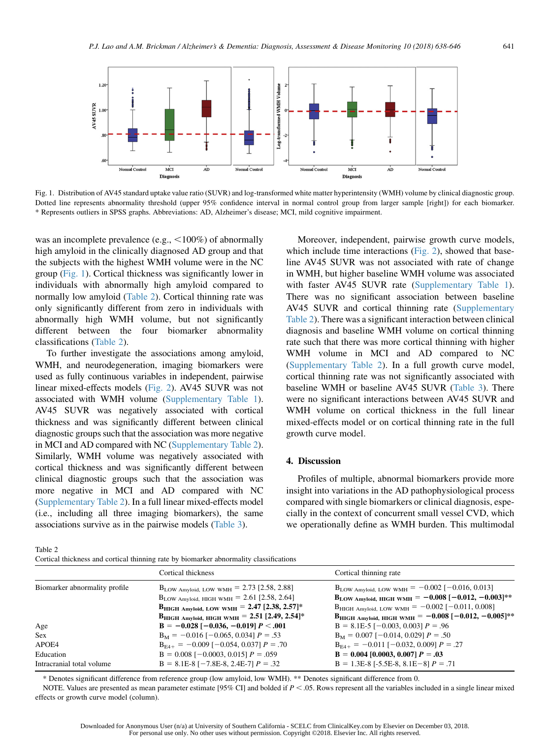<span id="page-3-0"></span>

Fig. 1. Distribution of AV45 standard uptake value ratio (SUVR) and log-transformed white matter hyperintensity (WMH) volume by clinical diagnostic group. Dotted line represents abnormality threshold (upper 95% confidence interval in normal control group from larger sample [right]) for each biomarker. \* Represents outliers in SPSS graphs. Abbreviations: AD, Alzheimer's disease; MCI, mild cognitive impairment.

was an incomplete prevalence (e.g.,  $\leq 100\%$ ) of abnormally high amyloid in the clinically diagnosed AD group and that the subjects with the highest WMH volume were in the NC group (Fig. 1). Cortical thickness was significantly lower in individuals with abnormally high amyloid compared to normally low amyloid (Table 2). Cortical thinning rate was only significantly different from zero in individuals with abnormally high WMH volume, but not significantly different between the four biomarker abnormality classifications (Table 2).

To further investigate the associations among amyloid, WMH, and neurodegeneration, imaging biomarkers were used as fully continuous variables in independent, pairwise linear mixed-effects models [\(Fig. 2](#page-4-0)). AV45 SUVR was not associated with WMH volume ([Supplementary Table 1](#page-6-0)). AV45 SUVR was negatively associated with cortical thickness and was significantly different between clinical diagnostic groups such that the association was more negative in MCI and AD compared with NC [\(Supplementary Table 2](#page-6-0)). Similarly, WMH volume was negatively associated with cortical thickness and was significantly different between clinical diagnostic groups such that the association was more negative in MCI and AD compared with NC [\(Supplementary Table 2\)](#page-6-0). In a full linear mixed-effects model (i.e., including all three imaging biomarkers), the same associations survive as in the pairwise models [\(Table 3\)](#page-5-0).

Moreover, independent, pairwise growth curve models, which include time interactions ([Fig. 2\)](#page-4-0), showed that baseline AV45 SUVR was not associated with rate of change in WMH, but higher baseline WMH volume was associated with faster AV45 SUVR rate ([Supplementary Table 1](#page-6-0)). There was no significant association between baseline AV45 SUVR and cortical thinning rate [\(Supplementary](#page-6-0) [Table 2\)](#page-6-0). There was a significant interaction between clinical diagnosis and baseline WMH volume on cortical thinning rate such that there was more cortical thinning with higher WMH volume in MCI and AD compared to NC [\(Supplementary Table 2](#page-6-0)). In a full growth curve model, cortical thinning rate was not significantly associated with baseline WMH or baseline AV45 SUVR [\(Table 3](#page-5-0)). There were no significant interactions between AV45 SUVR and WMH volume on cortical thickness in the full linear mixed-effects model or on cortical thinning rate in the full growth curve model.

## 4. Discussion

Profiles of multiple, abnormal biomarkers provide more insight into variations in the AD pathophysiological process compared with single biomarkers or clinical diagnosis, especially in the context of concurrent small vessel CVD, which we operationally define as WMH burden. This multimodal

Table 2

| Cortical thickness and cortical thinning rate by biomarker abnormality classifications |  |  |
|----------------------------------------------------------------------------------------|--|--|
|                                                                                        |  |  |

|                                                               | Cortical thickness                                                                                                                                                                                                 | Cortical thinning rate                                                                                                                                                                                                                               |
|---------------------------------------------------------------|--------------------------------------------------------------------------------------------------------------------------------------------------------------------------------------------------------------------|------------------------------------------------------------------------------------------------------------------------------------------------------------------------------------------------------------------------------------------------------|
| Biomarker abnormality profile                                 | $B_{LOW\ Amvloid.}$ LOW WMH = 2.73 [2.58, 2.88]<br>$B_{LOW\ Amvloid. \ HIGH\ WMH} = 2.61$ [2.58, 2.64]<br>$B_{\text{HIGH Amvloid, LOW WMH}} = 2.47 [2.38, 2.57]^*$<br>BHIGH Amyloid, HIGH WMH = 2.51 [2.49, 2.54]* | $B_{LOW\ Amyloid,\ LOW\ WMH} = -0.002$ [-0.016, 0.013]<br>BLOW Amyloid, HIGH WMH = $-0.008$ [ $-0.012$ , $-0.003$ ]**<br>$B_{\text{HIGH Amyloid, LOW WMH}} = -0.002 [-0.011, 0.008]$<br>BHIGH Amyloid, HIGH WMH = $-0.008$ [ $-0.012$ , $-0.005$ ]** |
| Age                                                           | $B = -0.028[-0.036, -0.019] P < .001$                                                                                                                                                                              | $B = 8.1E-5$ [-0.003, 0.003] $P = .96$                                                                                                                                                                                                               |
| <b>Sex</b><br>APOE4<br>Education<br>Intracranial total volume | $B_M = -0.016$ [-0.065, 0.034] $P = .53$<br>$B_{FA+} = -0.009$ [-0.054, 0.037] $P = .70$<br>$B = 0.008$ [-0.0003, 0.015] $P = .059$<br>$B = 8.1E-8$ [-7.8E-8, 2.4E-7] $P = .32$                                    | $B_M = 0.007$ [-0.014, 0.029] $P = .50$<br>$B_{E4+} = -0.011 [-0.032, 0.009] P = .27$<br>$B = 0.004$ [0.0003, 0.007] $P = .03$<br>$B = 1.3E-8$ [-5.5E-8, 8.1E-8] $P = .71$                                                                           |

\* Denotes significant difference from reference group (low amyloid, low WMH). \*\* Denotes significant difference from 0.

NOTE. Values are presented as mean parameter estimate [95% CI] and bolded if  $P < .05$ . Rows represent all the variables included in a single linear mixed effects or growth curve model (column).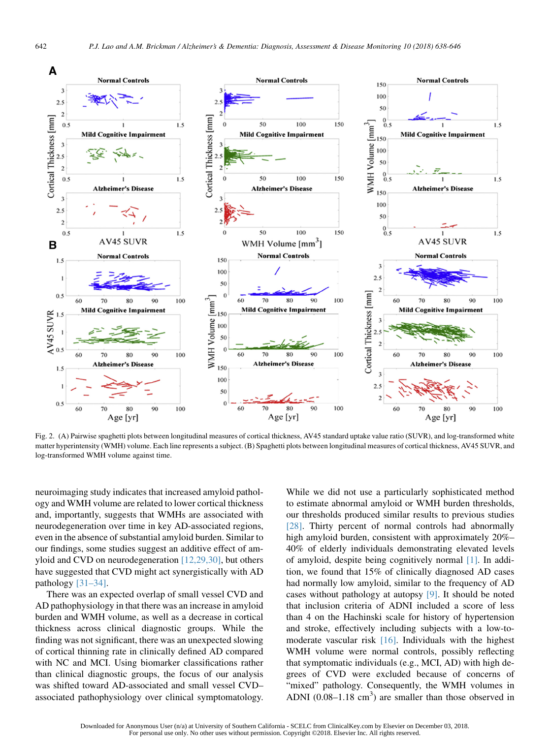<span id="page-4-0"></span>

Fig. 2. (A) Pairwise spaghetti plots between longitudinal measures of cortical thickness, AV45 standard uptake value ratio (SUVR), and log-transformed white matter hyperintensity (WMH) volume. Each line represents a subject. (B) Spaghetti plots between longitudinal measures of cortical thickness, AV45 SUVR, and log-transformed WMH volume against time.

neuroimaging study indicates that increased amyloid pathology and WMH volume are related to lower cortical thickness and, importantly, suggests that WMHs are associated with neurodegeneration over time in key AD-associated regions, even in the absence of substantial amyloid burden. Similar to our findings, some studies suggest an additive effect of amyloid and CVD on neurodegeneration [\[12,29,30\]](#page-7-0), but others have suggested that CVD might act synergistically with AD pathology [\[31–34\]](#page-7-0).

There was an expected overlap of small vessel CVD and AD pathophysiology in that there was an increase in amyloid burden and WMH volume, as well as a decrease in cortical thickness across clinical diagnostic groups. While the finding was not significant, there was an unexpected slowing of cortical thinning rate in clinically defined AD compared with NC and MCI. Using biomarker classifications rather than clinical diagnostic groups, the focus of our analysis was shifted toward AD-associated and small vessel CVD– associated pathophysiology over clinical symptomatology. While we did not use a particularly sophisticated method to estimate abnormal amyloid or WMH burden thresholds, our thresholds produced similar results to previous studies [\[28\].](#page-7-0) Thirty percent of normal controls had abnormally high amyloid burden, consistent with approximately 20%– 40% of elderly individuals demonstrating elevated levels of amyloid, despite being cognitively normal [\[1\]](#page-6-0). In addition, we found that 15% of clinically diagnosed AD cases had normally low amyloid, similar to the frequency of AD cases without pathology at autopsy [\[9\].](#page-7-0) It should be noted that inclusion criteria of ADNI included a score of less than 4 on the Hachinski scale for history of hypertension and stroke, effectively including subjects with a low-tomoderate vascular risk [\[16\]](#page-7-0). Individuals with the highest WMH volume were normal controls, possibly reflecting that symptomatic individuals (e.g., MCI, AD) with high degrees of CVD were excluded because of concerns of "mixed" pathology. Consequently, the WMH volumes in ADNI  $(0.08-1.18 \text{ cm}^3)$  are smaller than those observed in

Downloaded for Anonymous User (n/a) at University of Southern California - SCELC from ClinicalKey.com by Elsevier on December 03, 2018.

For personal use only. No other uses without permission. Copyright ©2018. Elsevier Inc. All rights reserved.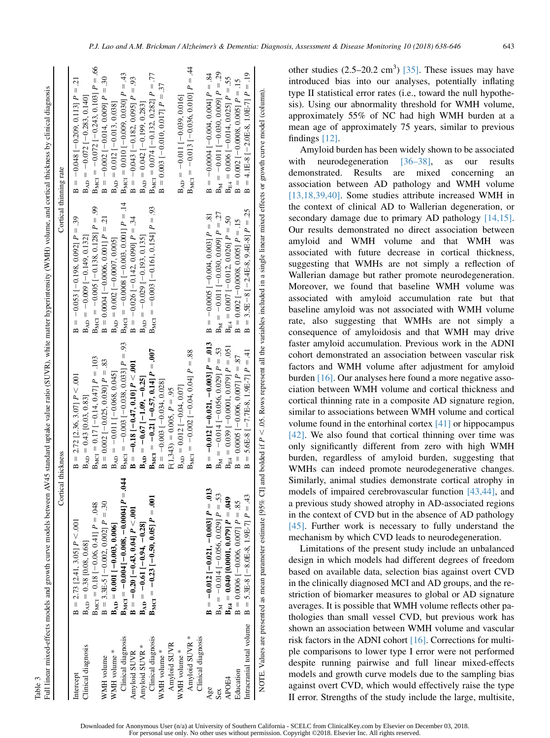| is controlled to the controlled to the controlled to the controlled to the controlled to the controlled to the controlled to the controlled to the controlled to the controlled to the controlled to the controlled to the con                                                                                                                             |
|------------------------------------------------------------------------------------------------------------------------------------------------------------------------------------------------------------------------------------------------------------------------------------------------------------------------------------------------------------|
| י<br>י                                                                                                                                                                                                                                                                                                                                                     |
| ׇ֠                                                                                                                                                                                                                                                                                                                                                         |
|                                                                                                                                                                                                                                                                                                                                                            |
|                                                                                                                                                                                                                                                                                                                                                            |
|                                                                                                                                                                                                                                                                                                                                                            |
|                                                                                                                                                                                                                                                                                                                                                            |
|                                                                                                                                                                                                                                                                                                                                                            |
|                                                                                                                                                                                                                                                                                                                                                            |
|                                                                                                                                                                                                                                                                                                                                                            |
|                                                                                                                                                                                                                                                                                                                                                            |
| $\frac{1}{2}$                                                                                                                                                                                                                                                                                                                                              |
|                                                                                                                                                                                                                                                                                                                                                            |
|                                                                                                                                                                                                                                                                                                                                                            |
|                                                                                                                                                                                                                                                                                                                                                            |
| $\begin{bmatrix} 0 & 0 & 0 \\ 0 & 0 & 0 \\ 0 & 0 & 0 \\ 0 & 0 & 0 \\ 0 & 0 & 0 \\ 0 & 0 & 0 \\ 0 & 0 & 0 \\ 0 & 0 & 0 & 0 \\ 0 & 0 & 0 & 0 \\ 0 & 0 & 0 & 0 \\ 0 & 0 & 0 & 0 & 0 \\ 0 & 0 & 0 & 0 & 0 \\ 0 & 0 & 0 & 0 & 0 \\ 0 & 0 & 0 & 0 & 0 & 0 \\ 0 & 0 & 0 & 0 & 0 & 0 \\ 0 & 0 & 0 & 0 & 0 & 0 \\ 0 & 0 & 0 & 0 & 0 & $<br>$\overline{\phantom{a}}$ |
|                                                                                                                                                                                                                                                                                                                                                            |
|                                                                                                                                                                                                                                                                                                                                                            |
|                                                                                                                                                                                                                                                                                                                                                            |
|                                                                                                                                                                                                                                                                                                                                                            |
|                                                                                                                                                                                                                                                                                                                                                            |
|                                                                                                                                                                                                                                                                                                                                                            |
|                                                                                                                                                                                                                                                                                                                                                            |
|                                                                                                                                                                                                                                                                                                                                                            |
|                                                                                                                                                                                                                                                                                                                                                            |
|                                                                                                                                                                                                                                                                                                                                                            |
|                                                                                                                                                                                                                                                                                                                                                            |
|                                                                                                                                                                                                                                                                                                                                                            |
|                                                                                                                                                                                                                                                                                                                                                            |
|                                                                                                                                                                                                                                                                                                                                                            |
|                                                                                                                                                                                                                                                                                                                                                            |
|                                                                                                                                                                                                                                                                                                                                                            |
|                                                                                                                                                                                                                                                                                                                                                            |
|                                                                                                                                                                                                                                                                                                                                                            |
|                                                                                                                                                                                                                                                                                                                                                            |
|                                                                                                                                                                                                                                                                                                                                                            |
|                                                                                                                                                                                                                                                                                                                                                            |
|                                                                                                                                                                                                                                                                                                                                                            |
| <br>l<br>έ<br>֦֚֓֓֓֡֓֡֓֡֓֡֓֡֓֡֓֡֓֡֓֡֓֡֟                                                                                                                                                                                                                                                                                                                    |
| i                                                                                                                                                                                                                                                                                                                                                          |
|                                                                                                                                                                                                                                                                                                                                                            |
|                                                                                                                                                                                                                                                                                                                                                            |
|                                                                                                                                                                                                                                                                                                                                                            |
|                                                                                                                                                                                                                                                                                                                                                            |
|                                                                                                                                                                                                                                                                                                                                                            |
| ł                                                                                                                                                                                                                                                                                                                                                          |
|                                                                                                                                                                                                                                                                                                                                                            |
|                                                                                                                                                                                                                                                                                                                                                            |
| ١                                                                                                                                                                                                                                                                                                                                                          |
| ł                                                                                                                                                                                                                                                                                                                                                          |
| ţ<br>ł                                                                                                                                                                                                                                                                                                                                                     |
|                                                                                                                                                                                                                                                                                                                                                            |
| $\overline{\phantom{a}}$                                                                                                                                                                                                                                                                                                                                   |
| ׇ֚֘֡                                                                                                                                                                                                                                                                                                                                                       |
|                                                                                                                                                                                                                                                                                                                                                            |
|                                                                                                                                                                                                                                                                                                                                                            |
|                                                                                                                                                                                                                                                                                                                                                            |

 $\sim$ 

 $\blacksquare$ 

<span id="page-5-0"></span>

|                                                     | Cortical thickness                                                                                                   |                                                                                                              | Cortical thinning rate                                                                                                                  |                                                                                                                             |
|-----------------------------------------------------|----------------------------------------------------------------------------------------------------------------------|--------------------------------------------------------------------------------------------------------------|-----------------------------------------------------------------------------------------------------------------------------------------|-----------------------------------------------------------------------------------------------------------------------------|
| Clinical diagnosis<br>Intercept                     | $B_{\text{MCI}} = 0.18 [-0.06, 0.41] P = .048$<br>$B = 2.73$ [2.41, 3.05] $P < .001$<br>$B_{AD} = 0.38 [0.08, 0.68]$ | $B_{MCI} = 0.17[-0.14, 0.47] P = .103$<br>$B = 2.72$ [2.36, 3.07] $P < .001$<br>$B_{AD} = 0.43$ [0.03, 0.83] | $B_{MCI} = -0.005 [-0.138, 0.128] P = .99$<br>$B = -0.053[-0.198, 0.092] P = .39$<br>$B_{AD} = -0.009[-0.149, 0.132]$                   | $B_{\text{MCI}} = -0.072[-0.243, 0.103] P = .66$<br>$B = -0.048[-0.209, 0.113] P = .21$<br>$B_{AD} = -0.072[-0.283, 0.140]$ |
| WMH volume*<br>WMH volume                           | $B = 3.3E-5[-0.002, 0.002] P = .30$<br>$B_{AD} = 0.001 [-0.003, 0.006]$                                              | $B = 0.002 [-0.025, 0.030] P = .83$<br>$B_{AD} = -0.011[-0.068, 0.045]$                                      | $B = 0.0004$ [-0.0006, 0.001] $P = .21$<br>$B_{AD} = 0.002[-0.0007, 0.005]$                                                             | $B = -0.002$ [-0.004, 0.009] $P = 30$<br>$B_{AD} = 0.012[-0.013, 0.038]$                                                    |
| Clinical diagnosis<br>Amyloid SUVR                  | $B_{\rm MCI} = -0.004[-0.008, -0.0004] P = .044$<br>$B = -0.20[-0.43, 0.04] P < .001$                                | $B_{MCI} = -0.003[-0.038, 0.033] P = .93$<br>$B = -0.18[-0.47, 0.10] P < 0.01$                               | $B_{MCI} = -0.0008[-0.003, 0.001] P = .14$<br>$B = -0.026[-0.142, 0.090] P = .34$                                                       | $B_{MCI} = 0.010 [-0.009, 0.030] P = .43$<br>$B = -0.043[-0.182, 0.095] P = .93$                                            |
| Clinical diagnosis<br>Amyloid SUVR *                | $B_{\rm MCI} = -0.23$ [-0.50, 0.05] $P = .001$<br>$B_{AD} = -0.61[-0.94, -0.28]$                                     | $B_{MCI} = -0.21[-0.57, 0.14] P = .007$<br>$B_{AD} = -0.67[-1.09, -0.25]$                                    | $B_{MCI} = -0.003[-0.161, 0.154] P = .93$<br>$B_{AD} = -0.029[-0.193, 0.135]$                                                           | $B_{MCI} = 0.074 [-0.132, 0.282] P = .77$<br>$B_{AD} = 0.042[-0.199, 0.283]$                                                |
| Amyloid SUVR<br>WMH volume *                        |                                                                                                                      | $B = -0.003[-0.034, 0.028]$<br>$F(1,343) = 0.005, P = .95$                                                   |                                                                                                                                         | $B = 0.003[-0.010, 0.017] P = .37$                                                                                          |
| Amyloid SUVR *<br>Clinical diagnosis<br>WMH volume* |                                                                                                                      | $B_{\text{MCI}} = -0.002[-0.04, 0.04]$ $P = .88$<br>$B_{AD} = 0.012[-0.04, 0.07]$                            |                                                                                                                                         | $B_{\text{MCI}} = -0.013[-0.036, 0.010]$ $P = .44$<br>$B_{AD} = -0.011[-0.039, 0.016]$                                      |
| Age                                                 | $B = -0.012$ [-0.021, -0.003] $P = .013$                                                                             | $B = -0.012[-0.021, -0.03] P = .013$                                                                         | $B = -0.0005 [-0.004, 0.003] P = .81$                                                                                                   | $B = -0.000(-0.000) - 0.0000 = 0.84$                                                                                        |
| Sex                                                 | $B_M = -0.014[-0.056, 0.029] P = .53$                                                                                | $B_M = -0.014[-0.056, 0.029] P = .53$                                                                        | $B_M = -0.011[-0.030, 0.009] P = .27$                                                                                                   | $B_M = -0.011[-0.030, 0.009] P = .29$                                                                                       |
| APOE4                                               | $B_{E4} = 0.040$ [0.0001, 0.079] $P = .049$                                                                          | $B_{E4} = 0.039[-0.0001, 0.079]$ $P = .051$                                                                  | $B_{E4} = 0.007 [-0.012, 0.026] P = .50$                                                                                                | $B_{E4} = 0.006[-0.014, 0.025] P = .55$                                                                                     |
| Education                                           | $B = 0.0006 [-0.006, 0.007] P = .85$                                                                                 | $B = 0.0005 [-0.006, 0.007] P = .87$                                                                         | $B = 0.002[-0.0008, 0.005] P = .15$                                                                                                     | $B = 0.002[-0.0008, 0.005] P = .15$                                                                                         |
| Intracranial total volume                           | $B = 5.3E-8[-8.0E-8, 1.9E-7] P = .43$                                                                                | $B = 5.6E-8[-7.7E-8, 1.9E-7] P = .41$                                                                        | $B = 3.5E-8[-2.4E-8, 9.4E-8]$ $P = .25$                                                                                                 | $B = 4.1E-8[-2.0E-8, 1.0E-7] P = .19$                                                                                       |
|                                                     | NOTE. Values are presented as mean parameter estimate [95% \                                                         |                                                                                                              | CI] and bolded if $P < 05$ . Rows represent all the variables included in a single linear mixed effects or growth curve model (column). |                                                                                                                             |

other studies  $(2.5-20.2 \text{ cm}^3)$  [\[35\].](#page-7-0) These issues may have introduced bias into our analyses, potentially inflating type II statistical error rates (i.e., toward the null hypothesis). Using our abnormality threshold for WMH volume, approximately 55% of NC had high WMH burden at a mean age of approximately 75 years, similar to previous findings [\[12\].](#page-7-0)

Amyloid burden has been widely shown to be associated with neurodegeneration [\[36–38\]](#page-7-0), as our results demonstrated. Results are mixed concerning an association between AD pathology and WMH volume [\[13,18,39,40\]](#page-7-0). Some studies attribute increased WMH in the context of clinical AD to Wallerian degeneration, or secondary damage due to primary AD pathology [\[14,15\].](#page-7-0) Our results demonstrated no direct association between amyloid and WMH volume and that WMH was associated with future decrease in cortical thickness, suggesting that WMHs are not simply a reflection of Wallerian damage but rather promote neurodegeneration. Moreover, we found that baseline WMH volume was associated with amyloid accumulation rate but that baseline amyloid was not associated with WMH volume rate, also suggesting that WMHs are not simply a consequence of amyloidosis and that WMH may drive faster amyloid accumulation. Previous work in the ADNI cohort demonstrated an association between vascular risk factors and WMH volume after adjustment for amyloid burden [\[16\].](#page-7-0) Our analyses here found a more negative association between WMH volume and cortical thickness and cortical thinning rate in a composite AD signature region, similar to associations between WMH volume and cortical volume found in the entorhinal cortex  $[41]$  or hippocampus [\[42\]](#page-8-0). We also found that cortical thinning over time was only significantly different from zero with high WMH burden, regardless of amyloid burden, suggesting that WMHs can indeed promote neurodegenerative changes. Similarly, animal studies demonstrate cortical atrophy in models of impaired cerebrovascular function [\[43,44\],](#page-8-0) and a previous study showed atrophy in AD-associated regions in the context of CVD but in the absence of AD pathology [\[45\]](#page-8-0). Further work is necessary to fully understand the mechanism by which CVD leads to neurodegeneration.

Limitations of the present study include an unbalanced design in which models had different degrees of freedom based on available data, selection bias against overt CVD in the clinically diagnosed MCI and AD groups, and the restriction of biomarker measures to global or AD signature averages. It is possible that WMH volume reflects other pathologies than small vessel CVD, but previous work has shown an association between WMH volume and vascular risk factors in the ADNI cohort [\[16\]](#page-7-0). Corrections for multiple comparisons to lower type I error were not performed despite running pairwise and full linear mixed-effects models and growth curve models due to the sampling bias against overt CVD, which would effectively raise the type II error. Strengths of the study include the large, multisite,

 $\mathbf{I}$ 

Downloaded for Anonymous User (n/a) at University of Southern California - SCELC from ClinicalKey.com by Elsevier on December 03, 2018. For personal use only. No other uses without permission. Copyright ©2018. Elsevier Inc. All rights reserved.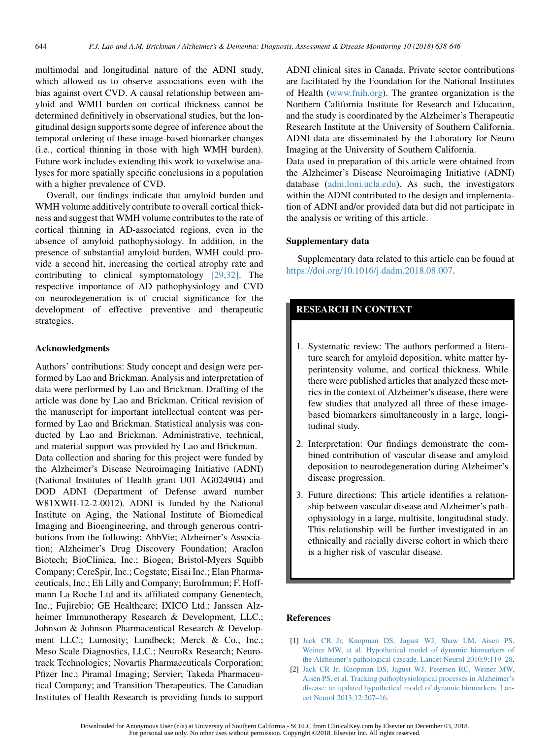<span id="page-6-0"></span>multimodal and longitudinal nature of the ADNI study, which allowed us to observe associations even with the bias against overt CVD. A causal relationship between amyloid and WMH burden on cortical thickness cannot be determined definitively in observational studies, but the longitudinal design supports some degree of inference about the temporal ordering of these image-based biomarker changes (i.e., cortical thinning in those with high WMH burden). Future work includes extending this work to voxelwise analyses for more spatially specific conclusions in a population with a higher prevalence of CVD.

Overall, our findings indicate that amyloid burden and WMH volume additively contribute to overall cortical thickness and suggest that WMH volume contributes to the rate of cortical thinning in AD-associated regions, even in the absence of amyloid pathophysiology. In addition, in the presence of substantial amyloid burden, WMH could provide a second hit, increasing the cortical atrophy rate and contributing to clinical symptomatology [\[29,32\]](#page-7-0). The respective importance of AD pathophysiology and CVD on neurodegeneration is of crucial significance for the development of effective preventive and therapeutic strategies.

#### Acknowledgments

Authors' contributions: Study concept and design were performed by Lao and Brickman. Analysis and interpretation of data were performed by Lao and Brickman. Drafting of the article was done by Lao and Brickman. Critical revision of the manuscript for important intellectual content was performed by Lao and Brickman. Statistical analysis was conducted by Lao and Brickman. Administrative, technical, and material support was provided by Lao and Brickman. Data collection and sharing for this project were funded by the Alzheimer's Disease Neuroimaging Initiative (ADNI) (National Institutes of Health grant U01 AG024904) and DOD ADNI (Department of Defense award number W81XWH-12-2-0012). ADNI is funded by the National Institute on Aging, the National Institute of Biomedical Imaging and Bioengineering, and through generous contributions from the following: AbbVie; Alzheimer's Association; Alzheimer's Drug Discovery Foundation; Araclon Biotech; BioClinica, Inc.; Biogen; Bristol-Myers Squibb Company; CereSpir, Inc.; Cogstate; Eisai Inc.; Elan Pharmaceuticals, Inc.; Eli Lilly and Company; EuroImmun; F. Hoffmann La Roche Ltd and its affiliated company Genentech, Inc.; Fujirebio; GE Healthcare; IXICO Ltd.; Janssen Alzheimer Immunotherapy Research & Development, LLC.; Johnson & Johnson Pharmaceutical Research & Development LLC.; Lumosity; Lundbeck; Merck & Co., Inc.; Meso Scale Diagnostics, LLC.; NeuroRx Research; Neurotrack Technologies; Novartis Pharmaceuticals Corporation; Pfizer Inc.; Piramal Imaging; Servier; Takeda Pharmaceutical Company; and Transition Therapeutics. The Canadian Institutes of Health Research is providing funds to support ADNI clinical sites in Canada. Private sector contributions are facilitated by the Foundation for the National Institutes of Health ([www.fnih.org\)](http://www.fnih.org). The grantee organization is the Northern California Institute for Research and Education, and the study is coordinated by the Alzheimer's Therapeutic Research Institute at the University of Southern California. ADNI data are disseminated by the Laboratory for Neuro Imaging at the University of Southern California.

Data used in preparation of this article were obtained from the Alzheimer's Disease Neuroimaging Initiative (ADNI) database ([adni.loni.ucla.edu](http://adni.loni.ucla.edu)). As such, the investigators within the ADNI contributed to the design and implementation of ADNI and/or provided data but did not participate in the analysis or writing of this article.

## Supplementary data

Supplementary data related to this article can be found at <https://doi.org/10.1016/j.dadm.2018.08.007>.

## RESEARCH IN CONTEXT

- 1. Systematic review: The authors performed a literature search for amyloid deposition, white matter hyperintensity volume, and cortical thickness. While there were published articles that analyzed these metrics in the context of Alzheimer's disease, there were few studies that analyzed all three of these imagebased biomarkers simultaneously in a large, longitudinal study.
- 2. Interpretation: Our findings demonstrate the combined contribution of vascular disease and amyloid deposition to neurodegeneration during Alzheimer's disease progression.
- 3. Future directions: This article identifies a relationship between vascular disease and Alzheimer's pathophysiology in a large, multisite, longitudinal study. This relationship will be further investigated in an ethnically and racially diverse cohort in which there is a higher risk of vascular disease.

#### References

- [1] [Jack CR Jr, Knopman DS, Jagust WJ, Shaw LM, Aisen PS,](http://refhub.elsevier.com/S2352-8729(18)30057-5/sref1) [Weiner MW, et al. Hypothetical model of dynamic biomarkers of](http://refhub.elsevier.com/S2352-8729(18)30057-5/sref1) [the Alzheimer's pathological cascade. Lancet Neurol 2010;9:119–28](http://refhub.elsevier.com/S2352-8729(18)30057-5/sref1).
- [2] [Jack CR Jr, Knopman DS, Jagust WJ, Petersen RC, Weiner MW,](http://refhub.elsevier.com/S2352-8729(18)30057-5/sref2) [Aisen PS, et al. Tracking pathophysiological processes in Alzheimer's](http://refhub.elsevier.com/S2352-8729(18)30057-5/sref2) [disease: an updated hypothetical model of dynamic biomarkers. Lan](http://refhub.elsevier.com/S2352-8729(18)30057-5/sref2)[cet Neurol 2013;12:207–16](http://refhub.elsevier.com/S2352-8729(18)30057-5/sref2).

Downloaded for Anonymous User (n/a) at University of Southern California - SCELC from ClinicalKey.com by Elsevier on December 03, 2018. For personal use only. No other uses without permission. Copyright ©2018. Elsevier Inc. All rights reserved.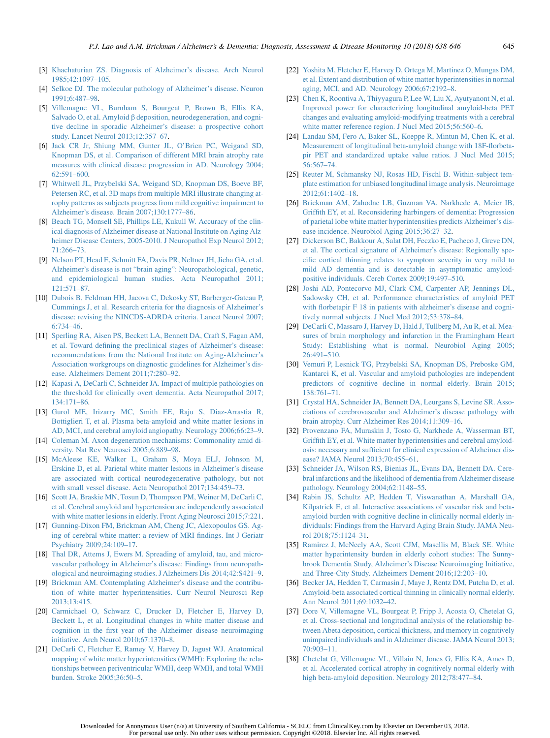- <span id="page-7-0"></span>[3] [Khachaturian ZS. Diagnosis of Alzheimer's disease. Arch Neurol](http://refhub.elsevier.com/S2352-8729(18)30057-5/sref3) [1985;42:1097–105](http://refhub.elsevier.com/S2352-8729(18)30057-5/sref3).
- [4] [Selkoe DJ. The molecular pathology of Alzheimer's disease. Neuron](http://refhub.elsevier.com/S2352-8729(18)30057-5/sref4) [1991;6:487–98](http://refhub.elsevier.com/S2352-8729(18)30057-5/sref4).
- [5] [Villemagne VL, Burnham S, Bourgeat P, Brown B, Ellis KA,](http://refhub.elsevier.com/S2352-8729(18)30057-5/sref5) Salvado O, et al. Amyloid  $\beta$  [deposition, neurodegeneration, and cogni](http://refhub.elsevier.com/S2352-8729(18)30057-5/sref5)[tive decline in sporadic Alzheimer's disease: a prospective cohort](http://refhub.elsevier.com/S2352-8729(18)30057-5/sref5) [study. Lancet Neurol 2013;12:357–67.](http://refhub.elsevier.com/S2352-8729(18)30057-5/sref5)
- [6] [Jack CR Jr, Shiung MM, Gunter JL, O'Brien PC, Weigand SD,](http://refhub.elsevier.com/S2352-8729(18)30057-5/sref6) [Knopman DS, et al. Comparison of different MRI brain atrophy rate](http://refhub.elsevier.com/S2352-8729(18)30057-5/sref6) [measures with clinical disease progression in AD. Neurology 2004;](http://refhub.elsevier.com/S2352-8729(18)30057-5/sref6) [62:591–600](http://refhub.elsevier.com/S2352-8729(18)30057-5/sref6).
- [7] [Whitwell JL, Przybelski SA, Weigand SD, Knopman DS, Boeve BF,](http://refhub.elsevier.com/S2352-8729(18)30057-5/sref7) [Petersen RC, et al. 3D maps from multiple MRI illustrate changing at](http://refhub.elsevier.com/S2352-8729(18)30057-5/sref7)[rophy patterns as subjects progress from mild cognitive impairment to](http://refhub.elsevier.com/S2352-8729(18)30057-5/sref7) [Alzheimer's disease. Brain 2007;130:1777–86.](http://refhub.elsevier.com/S2352-8729(18)30057-5/sref7)
- [8] [Beach TG, Monsell SE, Phillips LE, Kukull W. Accuracy of the clin](http://refhub.elsevier.com/S2352-8729(18)30057-5/sref8)[ical diagnosis of Alzheimer disease at National Institute on Aging Alz](http://refhub.elsevier.com/S2352-8729(18)30057-5/sref8)[heimer Disease Centers, 2005-2010. J Neuropathol Exp Neurol 2012;](http://refhub.elsevier.com/S2352-8729(18)30057-5/sref8) [71:266–73](http://refhub.elsevier.com/S2352-8729(18)30057-5/sref8).
- [9] [Nelson PT, Head E, Schmitt FA, Davis PR, Neltner JH, Jicha GA, et al.](http://refhub.elsevier.com/S2352-8729(18)30057-5/sref9) [Alzheimer's disease is not "brain aging": Neuropathological, genetic,](http://refhub.elsevier.com/S2352-8729(18)30057-5/sref9) [and epidemiological human studies. Acta Neuropathol 2011;](http://refhub.elsevier.com/S2352-8729(18)30057-5/sref9) [121:571–87](http://refhub.elsevier.com/S2352-8729(18)30057-5/sref9).
- [10] [Dubois B, Feldman HH, Jacova C, Dekosky ST, Barberger-Gateau P,](http://refhub.elsevier.com/S2352-8729(18)30057-5/sref10) [Cummings J, et al. Research criteria for the diagnosis of Alzheimer's](http://refhub.elsevier.com/S2352-8729(18)30057-5/sref10) [disease: revising the NINCDS-ADRDA criteria. Lancet Neurol 2007;](http://refhub.elsevier.com/S2352-8729(18)30057-5/sref10) [6:734–46](http://refhub.elsevier.com/S2352-8729(18)30057-5/sref10).
- [11] [Sperling RA, Aisen PS, Beckett LA, Bennett DA, Craft S, Fagan AM,](http://refhub.elsevier.com/S2352-8729(18)30057-5/sref11) [et al. Toward defining the preclinical stages of Alzheimer's disease:](http://refhub.elsevier.com/S2352-8729(18)30057-5/sref11) [recommendations from the National Institute on Aging-Alzheimer's](http://refhub.elsevier.com/S2352-8729(18)30057-5/sref11) [Association workgroups on diagnostic guidelines for Alzheimer's dis](http://refhub.elsevier.com/S2352-8729(18)30057-5/sref11)[ease. Alzheimers Dement 2011;7:280–92.](http://refhub.elsevier.com/S2352-8729(18)30057-5/sref11)
- [12] [Kapasi A, DeCarli C, Schneider JA. Impact of multiple pathologies on](http://refhub.elsevier.com/S2352-8729(18)30057-5/sref12) [the threshold for clinically overt dementia. Acta Neuropathol 2017;](http://refhub.elsevier.com/S2352-8729(18)30057-5/sref12) [134:171–86](http://refhub.elsevier.com/S2352-8729(18)30057-5/sref12).
- [13] [Gurol ME, Irizarry MC, Smith EE, Raju S, Diaz-Arrastia R,](http://refhub.elsevier.com/S2352-8729(18)30057-5/sref13) [Bottiglieri T, et al. Plasma beta-amyloid and white matter lesions in](http://refhub.elsevier.com/S2352-8729(18)30057-5/sref13) [AD, MCI, and cerebral amyloid angiopathy. Neurology 2006;66:23–9](http://refhub.elsevier.com/S2352-8729(18)30057-5/sref13).
- [14] [Coleman M. Axon degeneration mechanisms: Commonality amid di](http://refhub.elsevier.com/S2352-8729(18)30057-5/sref14)[versity. Nat Rev Neurosci 2005;6:889–98](http://refhub.elsevier.com/S2352-8729(18)30057-5/sref14).
- [15] [McAleese KE, Walker L, Graham S, Moya ELJ, Johnson M,](http://refhub.elsevier.com/S2352-8729(18)30057-5/sref15) [Erskine D, et al. Parietal white matter lesions in Alzheimer's disease](http://refhub.elsevier.com/S2352-8729(18)30057-5/sref15) [are associated with cortical neurodegenerative pathology, but not](http://refhub.elsevier.com/S2352-8729(18)30057-5/sref15) [with small vessel disease. Acta Neuropathol 2017;134:459–73](http://refhub.elsevier.com/S2352-8729(18)30057-5/sref15).
- [16] [Scott JA, Braskie MN, Tosun D, Thompson PM, Weiner M, DeCarli C,](http://refhub.elsevier.com/S2352-8729(18)30057-5/sref16) [et al. Cerebral amyloid and hypertension are independently associated](http://refhub.elsevier.com/S2352-8729(18)30057-5/sref16) [with white matter lesions in elderly. Front Aging Neurosci 2015;7:221](http://refhub.elsevier.com/S2352-8729(18)30057-5/sref16).
- [17] [Gunning-Dixon FM, Brickman AM, Cheng JC, Alexopoulos GS. Ag](http://refhub.elsevier.com/S2352-8729(18)30057-5/sref17)[ing of cerebral white matter: a review of MRI findings. Int J Geriatr](http://refhub.elsevier.com/S2352-8729(18)30057-5/sref17) [Psychiatry 2009;24:109–17](http://refhub.elsevier.com/S2352-8729(18)30057-5/sref17).
- [18] [Thal DR, Attems J, Ewers M. Spreading of amyloid, tau, and micro](http://refhub.elsevier.com/S2352-8729(18)30057-5/sref18)[vascular pathology in Alzheimer's disease: Findings from neuropath](http://refhub.elsevier.com/S2352-8729(18)30057-5/sref18)[ological and neuroimaging studies. J Alzheimers Dis 2014;42:S421–9](http://refhub.elsevier.com/S2352-8729(18)30057-5/sref18).
- [19] [Brickman AM. Contemplating Alzheimer's disease and the contribu](http://refhub.elsevier.com/S2352-8729(18)30057-5/sref19)[tion of white matter hyperintensities. Curr Neurol Neurosci Rep](http://refhub.elsevier.com/S2352-8729(18)30057-5/sref19) [2013;13:415](http://refhub.elsevier.com/S2352-8729(18)30057-5/sref19).
- [20] [Carmichael O, Schwarz C, Drucker D, Fletcher E, Harvey D,](http://refhub.elsevier.com/S2352-8729(18)30057-5/sref20) [Beckett L, et al. Longitudinal changes in white matter disease and](http://refhub.elsevier.com/S2352-8729(18)30057-5/sref20) [cognition in the first year of the Alzheimer disease neuroimaging](http://refhub.elsevier.com/S2352-8729(18)30057-5/sref20) [initiative. Arch Neurol 2010;67:1370–8](http://refhub.elsevier.com/S2352-8729(18)30057-5/sref20).
- [21] [DeCarli C, Fletcher E, Ramey V, Harvey D, Jagust WJ. Anatomical](http://refhub.elsevier.com/S2352-8729(18)30057-5/sref21) [mapping of white matter hyperintensities \(WMH\): Exploring the rela](http://refhub.elsevier.com/S2352-8729(18)30057-5/sref21)[tionships between periventricular WMH, deep WMH, and total WMH](http://refhub.elsevier.com/S2352-8729(18)30057-5/sref21) [burden. Stroke 2005;36:50–5.](http://refhub.elsevier.com/S2352-8729(18)30057-5/sref21)
- [22] [Yoshita M, Fletcher E, Harvey D, Ortega M, Martinez O, Mungas DM,](http://refhub.elsevier.com/S2352-8729(18)30057-5/sref22) [et al. Extent and distribution of white matter hyperintensities in normal](http://refhub.elsevier.com/S2352-8729(18)30057-5/sref22) [aging, MCI, and AD. Neurology 2006;67:2192–8](http://refhub.elsevier.com/S2352-8729(18)30057-5/sref22).
- [23] [Chen K, Roontiva A, Thiyyagura P, Lee W, Liu X, Ayutyanont N, et al.](http://refhub.elsevier.com/S2352-8729(18)30057-5/sref23) [Improved power for characterizing longitudinal amyloid-beta PET](http://refhub.elsevier.com/S2352-8729(18)30057-5/sref23) [changes and evaluating amyloid-modifying treatments with a cerebral](http://refhub.elsevier.com/S2352-8729(18)30057-5/sref23) [white matter reference region. J Nucl Med 2015;56:560–6](http://refhub.elsevier.com/S2352-8729(18)30057-5/sref23).
- [24] [Landau SM, Fero A, Baker SL, Koeppe R, Mintun M, Chen K, et al.](http://refhub.elsevier.com/S2352-8729(18)30057-5/sref24) [Measurement of longitudinal beta-amyloid change with 18F-florbeta](http://refhub.elsevier.com/S2352-8729(18)30057-5/sref24)[pir PET and standardized uptake value ratios. J Nucl Med 2015;](http://refhub.elsevier.com/S2352-8729(18)30057-5/sref24) [56:567–74](http://refhub.elsevier.com/S2352-8729(18)30057-5/sref24).
- [25] [Reuter M, Schmansky NJ, Rosas HD, Fischl B. Within-subject tem](http://refhub.elsevier.com/S2352-8729(18)30057-5/sref25)[plate estimation for unbiased longitudinal image analysis. Neuroimage](http://refhub.elsevier.com/S2352-8729(18)30057-5/sref25) [2012;61:1402–18](http://refhub.elsevier.com/S2352-8729(18)30057-5/sref25).
- [26] [Brickman AM, Zahodne LB, Guzman VA, Narkhede A, Meier IB,](http://refhub.elsevier.com/S2352-8729(18)30057-5/sref26) [Griffith EY, et al. Reconsidering harbingers of dementia: Progression](http://refhub.elsevier.com/S2352-8729(18)30057-5/sref26) [of parietal lobe white matter hyperintensities predicts Alzheimer's dis](http://refhub.elsevier.com/S2352-8729(18)30057-5/sref26)[ease incidence. Neurobiol Aging 2015;36:27–32.](http://refhub.elsevier.com/S2352-8729(18)30057-5/sref26)
- [27] [Dickerson BC, Bakkour A, Salat DH, Feczko E, Pacheco J, Greve DN,](http://refhub.elsevier.com/S2352-8729(18)30057-5/sref27) [et al. The cortical signature of Alzheimer's disease: Regionally spe](http://refhub.elsevier.com/S2352-8729(18)30057-5/sref27)[cific cortical thinning relates to symptom severity in very mild to](http://refhub.elsevier.com/S2352-8729(18)30057-5/sref27) [mild AD dementia and is detectable in asymptomatic amyloid](http://refhub.elsevier.com/S2352-8729(18)30057-5/sref27)[positive individuals. Cereb Cortex 2009;19:497–510](http://refhub.elsevier.com/S2352-8729(18)30057-5/sref27).
- [28] [Joshi AD, Pontecorvo MJ, Clark CM, Carpenter AP, Jennings DL,](http://refhub.elsevier.com/S2352-8729(18)30057-5/sref28) [Sadowsky CH, et al. Performance characteristics of amyloid PET](http://refhub.elsevier.com/S2352-8729(18)30057-5/sref28) [with florbetapir F 18 in patients with alzheimer's disease and cogni](http://refhub.elsevier.com/S2352-8729(18)30057-5/sref28)[tively normal subjects. J Nucl Med 2012;53:378–84](http://refhub.elsevier.com/S2352-8729(18)30057-5/sref28).
- [29] [DeCarli C, Massaro J, Harvey D, Hald J, Tullberg M, Au R, et al. Mea](http://refhub.elsevier.com/S2352-8729(18)30057-5/sref29)[sures of brain morphology and infarction in the Framingham Heart](http://refhub.elsevier.com/S2352-8729(18)30057-5/sref29) [Study: Establishing what is normal. Neurobiol Aging 2005;](http://refhub.elsevier.com/S2352-8729(18)30057-5/sref29) [26:491–510](http://refhub.elsevier.com/S2352-8729(18)30057-5/sref29).
- [30] [Vemuri P, Lesnick TG, Przybelski SA, Knopman DS, Preboske GM,](http://refhub.elsevier.com/S2352-8729(18)30057-5/sref30) [Kantarci K, et al. Vascular and amyloid pathologies are independent](http://refhub.elsevier.com/S2352-8729(18)30057-5/sref30) [predictors of cognitive decline in normal elderly. Brain 2015;](http://refhub.elsevier.com/S2352-8729(18)30057-5/sref30) [138:761–71](http://refhub.elsevier.com/S2352-8729(18)30057-5/sref30).
- [31] [Crystal HA, Schneider JA, Bennett DA, Leurgans S, Levine SR. Asso](http://refhub.elsevier.com/S2352-8729(18)30057-5/sref31)[ciations of cerebrovascular and Alzheimer's disease pathology with](http://refhub.elsevier.com/S2352-8729(18)30057-5/sref31) [brain atrophy. Curr Alzheimer Res 2014;11:309–16.](http://refhub.elsevier.com/S2352-8729(18)30057-5/sref31)
- [32] [Provenzano FA, Muraskin J, Tosto G, Narkhede A, Wasserman BT,](http://refhub.elsevier.com/S2352-8729(18)30057-5/sref32) [Griffith EY, et al. White matter hyperintensities and cerebral amyloid](http://refhub.elsevier.com/S2352-8729(18)30057-5/sref32)[osis: necessary and sufficient for clinical expression of Alzheimer dis](http://refhub.elsevier.com/S2352-8729(18)30057-5/sref32)[ease? JAMA Neurol 2013;70:455–61.](http://refhub.elsevier.com/S2352-8729(18)30057-5/sref32)
- [33] [Schneider JA, Wilson RS, Bienias JL, Evans DA, Bennett DA. Cere](http://refhub.elsevier.com/S2352-8729(18)30057-5/sref33)[bral infarctions and the likelihood of dementia from Alzheimer disease](http://refhub.elsevier.com/S2352-8729(18)30057-5/sref33) [pathology. Neurology 2004;62:1148–55](http://refhub.elsevier.com/S2352-8729(18)30057-5/sref33).
- [34] [Rabin JS, Schultz AP, Hedden T, Viswanathan A, Marshall GA,](http://refhub.elsevier.com/S2352-8729(18)30057-5/sref34) [Kilpatrick E, et al. Interactive associations of vascular risk and beta](http://refhub.elsevier.com/S2352-8729(18)30057-5/sref34)[amyloid burden with cognitive decline in clinically normal elderly in](http://refhub.elsevier.com/S2352-8729(18)30057-5/sref34)[dividuals: Findings from the Harvard Aging Brain Study. JAMA Neu](http://refhub.elsevier.com/S2352-8729(18)30057-5/sref34)[rol 2018;75:1124–31](http://refhub.elsevier.com/S2352-8729(18)30057-5/sref34).
- [35] [Ramirez J, McNeely AA, Scott CJM, Masellis M, Black SE. White](http://refhub.elsevier.com/S2352-8729(18)30057-5/sref35) [matter hyperintensity burden in elderly cohort studies: The Sunny](http://refhub.elsevier.com/S2352-8729(18)30057-5/sref35)[brook Dementia Study, Alzheimer's Disease Neuroimaging Initiative,](http://refhub.elsevier.com/S2352-8729(18)30057-5/sref35) [and Three-City Study. Alzheimers Dement 2016;12:203–10](http://refhub.elsevier.com/S2352-8729(18)30057-5/sref35).
- [36] [Becker JA, Hedden T, Carmasin J, Maye J, Rentz DM, Putcha D, et al.](http://refhub.elsevier.com/S2352-8729(18)30057-5/sref36) [Amyloid-beta associated cortical thinning in clinically normal elderly.](http://refhub.elsevier.com/S2352-8729(18)30057-5/sref36) [Ann Neurol 2011;69:1032–42.](http://refhub.elsevier.com/S2352-8729(18)30057-5/sref36)
- [37] [Dore V, Villemagne VL, Bourgeat P, Fripp J, Acosta O, Chetelat G,](http://refhub.elsevier.com/S2352-8729(18)30057-5/sref37) [et al. Cross-sectional and longitudinal analysis of the relationship be](http://refhub.elsevier.com/S2352-8729(18)30057-5/sref37)[tween Abeta deposition, cortical thickness, and memory in cognitively](http://refhub.elsevier.com/S2352-8729(18)30057-5/sref37) [unimpaired individuals and in Alzheimer disease. JAMA Neurol 2013;](http://refhub.elsevier.com/S2352-8729(18)30057-5/sref37) [70:903–11](http://refhub.elsevier.com/S2352-8729(18)30057-5/sref37).
- [38] [Chetelat G, Villemagne VL, Villain N, Jones G, Ellis KA, Ames D,](http://refhub.elsevier.com/S2352-8729(18)30057-5/sref38) [et al. Accelerated cortical atrophy in cognitively normal elderly with](http://refhub.elsevier.com/S2352-8729(18)30057-5/sref38) [high beta-amyloid deposition. Neurology 2012;78:477–84.](http://refhub.elsevier.com/S2352-8729(18)30057-5/sref38)